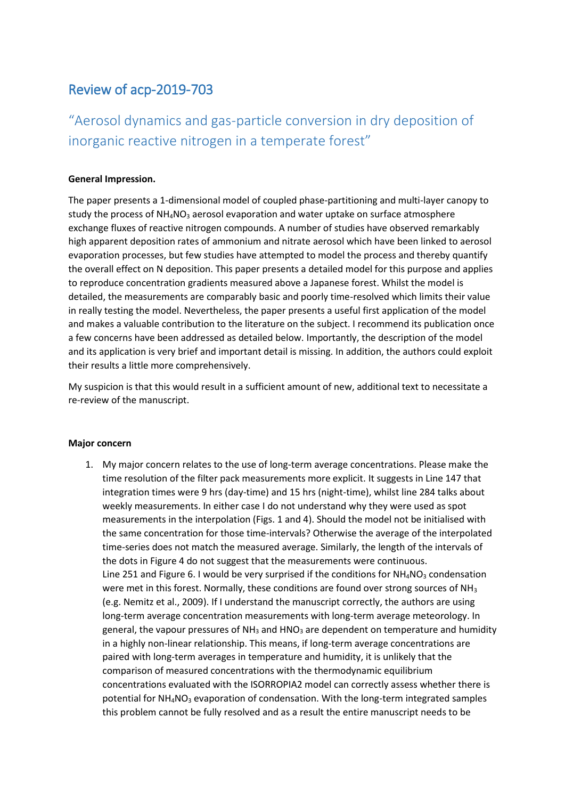## Review of acp-2019-703

# "Aerosol dynamics and gas-particle conversion in dry deposition of inorganic reactive nitrogen in a temperate forest"

### **General Impression.**

The paper presents a 1-dimensional model of coupled phase-partitioning and multi-layer canopy to study the process of  $NH_4NO_3$  aerosol evaporation and water uptake on surface atmosphere exchange fluxes of reactive nitrogen compounds. A number of studies have observed remarkably high apparent deposition rates of ammonium and nitrate aerosol which have been linked to aerosol evaporation processes, but few studies have attempted to model the process and thereby quantify the overall effect on N deposition. This paper presents a detailed model for this purpose and applies to reproduce concentration gradients measured above a Japanese forest. Whilst the model is detailed, the measurements are comparably basic and poorly time-resolved which limits their value in really testing the model. Nevertheless, the paper presents a useful first application of the model and makes a valuable contribution to the literature on the subject. I recommend its publication once a few concerns have been addressed as detailed below. Importantly, the description of the model and its application is very brief and important detail is missing. In addition, the authors could exploit their results a little more comprehensively.

My suspicion is that this would result in a sufficient amount of new, additional text to necessitate a re-review of the manuscript.

### **Major concern**

1. My major concern relates to the use of long-term average concentrations. Please make the time resolution of the filter pack measurements more explicit. It suggests in Line 147 that integration times were 9 hrs (day-time) and 15 hrs (night-time), whilst line 284 talks about weekly measurements. In either case I do not understand why they were used as spot measurements in the interpolation (Figs. 1 and 4). Should the model not be initialised with the same concentration for those time-intervals? Otherwise the average of the interpolated time-series does not match the measured average. Similarly, the length of the intervals of the dots in Figure 4 do not suggest that the measurements were continuous. Line 251 and Figure 6. I would be very surprised if the conditions for  $NH_4NO_3$  condensation were met in this forest. Normally, these conditions are found over strong sources of  $NH<sub>3</sub>$ (e.g. Nemitz et al., 2009). If I understand the manuscript correctly, the authors are using long-term average concentration measurements with long-term average meteorology. In general, the vapour pressures of  $NH<sub>3</sub>$  and HNO<sub>3</sub> are dependent on temperature and humidity in a highly non-linear relationship. This means, if long-term average concentrations are paired with long-term averages in temperature and humidity, it is unlikely that the comparison of measured concentrations with the thermodynamic equilibrium concentrations evaluated with the ISORROPIA2 model can correctly assess whether there is potential for NH<sub>4</sub>NO<sub>3</sub> evaporation of condensation. With the long-term integrated samples this problem cannot be fully resolved and as a result the entire manuscript needs to be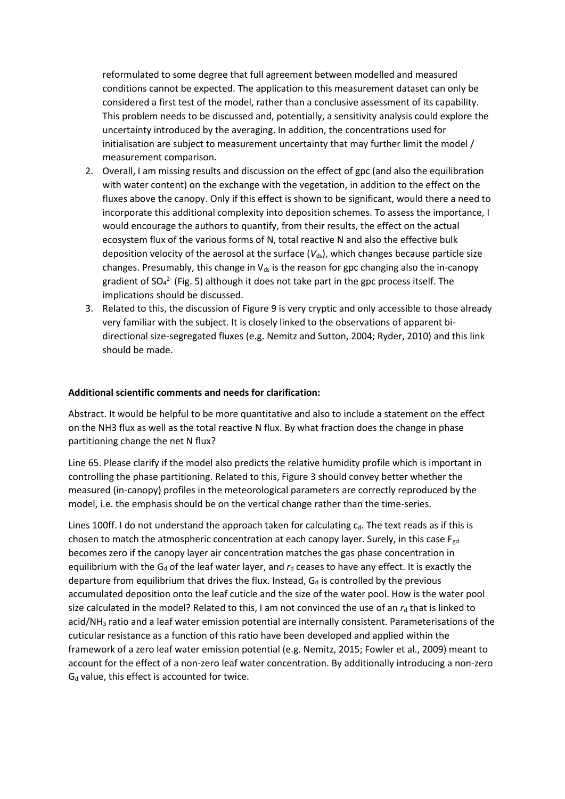reformulated to some degree that full agreement between modelled and measured conditions cannot be expected. The application to this measurement dataset can only be considered a first test of the model, rather than a conclusive assessment of its capability. This problem needs to be discussed and, potentially, a sensitivity analysis could explore the uncertainty introduced by the averaging. In addition, the concentrations used for initialisation are subject to measurement uncertainty that may further limit the model / measurement comparison.

- 2. Overall, I am missing results and discussion on the effect of gpc (and also the equilibration with water content) on the exchange with the vegetation, in addition to the effect on the fluxes above the canopy. Only if this effect is shown to be significant, would there a need to incorporate this additional complexity into deposition schemes. To assess the importance, I would encourage the authors to quantify, from their results, the effect on the actual ecosystem flux of the various forms of N, total reactive N and also the effective bulk deposition velocity of the aerosol at the surface  $(V_{ds})$ , which changes because particle size changes. Presumably, this change in  $V_{ds}$  is the reason for gpc changing also the in-canopy gradient of SO<sub>4</sub><sup>2</sup> (Fig. 5) although it does not take part in the gpc process itself. The implications should be discussed.
- 3. Related to this, the discussion of Figure 9 is very cryptic and only accessible to those already very familiar with the subject. It is closely linked to the observations of apparent bidirectional size-segregated fluxes (e.g. Nemitz and Sutton, 2004; Ryder, 2010) and this link should be made.

### **Additional scientific comments and needs for clarification:**

Abstract. It would be helpful to be more quantitative and also to include a statement on the effect on the NH3 flux as well as the total reactive N flux. By what fraction does the change in phase partitioning change the net N flux?

Line 65. Please clarify if the model also predicts the relative humidity profile which is important in controlling the phase partitioning. Related to this, Figure 3 should convey better whether the measured (in-canopy) profiles in the meteorological parameters are correctly reproduced by the model, i.e. the emphasis should be on the vertical change rather than the time-series.

Lines 100ff. I do not understand the approach taken for calculating  $c<sub>d</sub>$ . The text reads as if this is chosen to match the atmospheric concentration at each canopy layer. Surely, in this case  $F_{gd}$ becomes zero if the canopy layer air concentration matches the gas phase concentration in equilibrium with the G<sub>d</sub> of the leaf water layer, and  $r<sub>d</sub>$  ceases to have any effect. It is exactly the departure from equilibrium that drives the flux. Instead,  $G_d$  is controlled by the previous accumulated deposition onto the leaf cuticle and the size of the water pool. How is the water pool size calculated in the model? Related to this, I am not convinced the use of an  $r_d$  that is linked to acid/NH<sub>3</sub> ratio and a leaf water emission potential are internally consistent. Parameterisations of the cuticular resistance as a function of this ratio have been developed and applied within the framework of a zero leaf water emission potential (e.g. Nemitz, 2015; Fowler et al., 2009) meant to account for the effect of a non-zero leaf water concentration. By additionally introducing a non-zero  $G_d$  value, this effect is accounted for twice.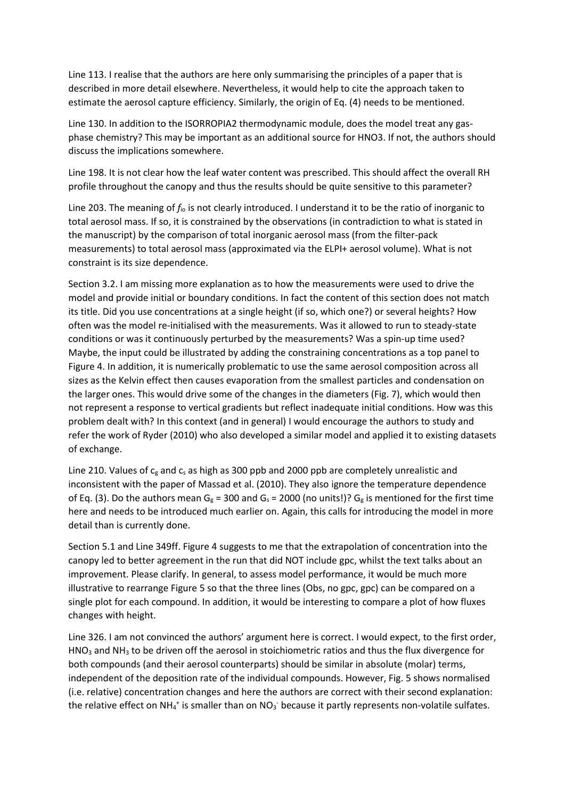Line 113. I realise that the authors are here only summarising the principles of a paper that is described in more detail elsewhere. Nevertheless, it would help to cite the approach taken to estimate the aerosol capture efficiency. Similarly, the origin of Eq. (4) needs to be mentioned.

Line 130. In addition to the ISORROPIA2 thermodynamic module, does the model treat any gasphase chemistry? This may be important as an additional source for HNO3. If not, the authors should discuss the implications somewhere.

Line 198. It is not clear how the leaf water content was prescribed. This should affect the overall RH profile throughout the canopy and thus the results should be quite sensitive to this parameter?

Line 203. The meaning of *f*io is not clearly introduced. I understand it to be the ratio of inorganic to total aerosol mass. If so, it is constrained by the observations (in contradiction to what is stated in the manuscript) by the comparison of total inorganic aerosol mass (from the filter-pack measurements) to total aerosol mass (approximated via the ELPI+ aerosol volume). What is not constraint is its size dependence.

Section 3.2. I am missing more explanation as to how the measurements were used to drive the model and provide initial or boundary conditions. In fact the content of this section does not match its title. Did you use concentrations at a single height (if so, which one?) or several heights? How often was the model re-initialised with the measurements. Was it allowed to run to steady-state conditions or was it continuously perturbed by the measurements? Was a spin-up time used? Maybe, the input could be illustrated by adding the constraining concentrations as a top panel to Figure 4. In addition, it is numerically problematic to use the same aerosol composition across all sizes as the Kelvin effect then causes evaporation from the smallest particles and condensation on the larger ones. This would drive some of the changes in the diameters (Fig. 7), which would then not represent a response to vertical gradients but reflect inadequate initial conditions. How was this problem dealt with? In this context (and in general) I would encourage the authors to study and refer the work of Ryder (2010) who also developed a similar model and applied it to existing datasets of exchange.

Line 210. Values of  $c_g$  and  $c_s$  as high as 300 ppb and 2000 ppb are completely unrealistic and inconsistent with the paper of Massad et al. (2010). They also ignore the temperature dependence of Eq. (3). Do the authors mean G<sub>g</sub> = 300 and G<sub>s</sub> = 2000 (no units!)? G<sub>g</sub> is mentioned for the first time here and needs to be introduced much earlier on. Again, this calls for introducing the model in more detail than is currently done.

Section 5.1 and Line 349ff. Figure 4 suggests to me that the extrapolation of concentration into the canopy led to better agreement in the run that did NOT include gpc, whilst the text talks about an improvement. Please clarify. In general, to assess model performance, it would be much more illustrative to rearrange Figure 5 so that the three lines (Obs, no gpc, gpc) can be compared on a single plot for each compound. In addition, it would be interesting to compare a plot of how fluxes changes with height.

Line 326. I am not convinced the authors' argument here is correct. I would expect, to the first order,  $HNO<sub>3</sub>$  and NH<sub>3</sub> to be driven off the aerosol in stoichiometric ratios and thus the flux divergence for both compounds (and their aerosol counterparts) should be similar in absolute (molar) terms, independent of the deposition rate of the individual compounds. However, Fig. 5 shows normalised (i.e. relative) concentration changes and here the authors are correct with their second explanation: the relative effect on NH<sub>4</sub><sup>+</sup> is smaller than on NO<sub>3</sub> because it partly represents non-volatile sulfates.